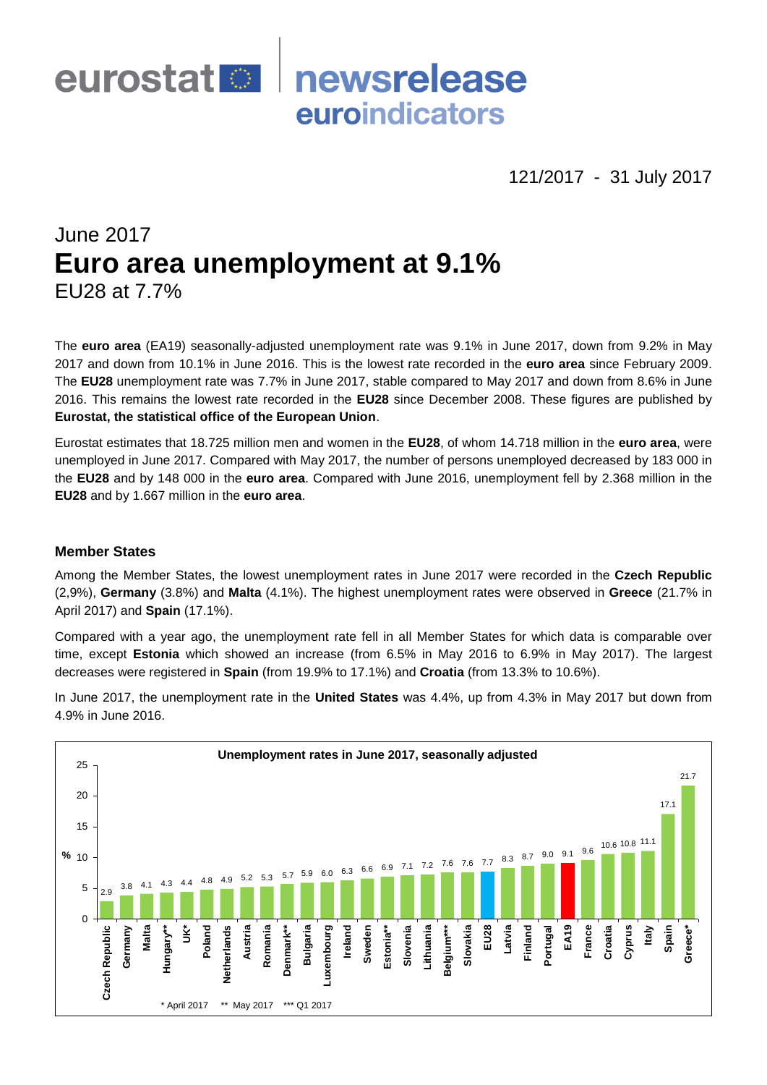

121/2017 - 31 July 2017

# June 2017 **Euro area unemployment at 9.1%** EU28 at 7.7%

The **euro area** (EA19) seasonally-adjusted unemployment rate was 9.1% in June 2017, down from 9.2% in May 2017 and down from 10.1% in June 2016. This is the lowest rate recorded in the **euro area** since February 2009. The **EU28** unemployment rate was 7.7% in June 2017, stable compared to May 2017 and down from 8.6% in June 2016. This remains the lowest rate recorded in the **EU28** since December 2008. These figures are published by **Eurostat, the statistical office of the European Union**.

Eurostat estimates that 18.725 million men and women in the **EU28**, of whom 14.718 million in the **euro area**, were unemployed in June 2017. Compared with May 2017, the number of persons unemployed decreased by 183 000 in the **EU28** and by 148 000 in the **euro area**. Compared with June 2016, unemployment fell by 2.368 million in the **EU28** and by 1.667 million in the **euro area**.

## **Member States**

Among the Member States, the lowest unemployment rates in June 2017 were recorded in the **Czech Republic**  (2,9%), **Germany** (3.8%) and **Malta** (4.1%). The highest unemployment rates were observed in **Greece** (21.7% in April 2017) and **Spain** (17.1%).

Compared with a year ago, the unemployment rate fell in all Member States for which data is comparable over time, except **Estonia** which showed an increase (from 6.5% in May 2016 to 6.9% in May 2017). The largest decreases were registered in **Spain** (from 19.9% to 17.1%) and **Croatia** (from 13.3% to 10.6%).



In June 2017, the unemployment rate in the **United States** was 4.4%, up from 4.3% in May 2017 but down from 4.9% in June 2016.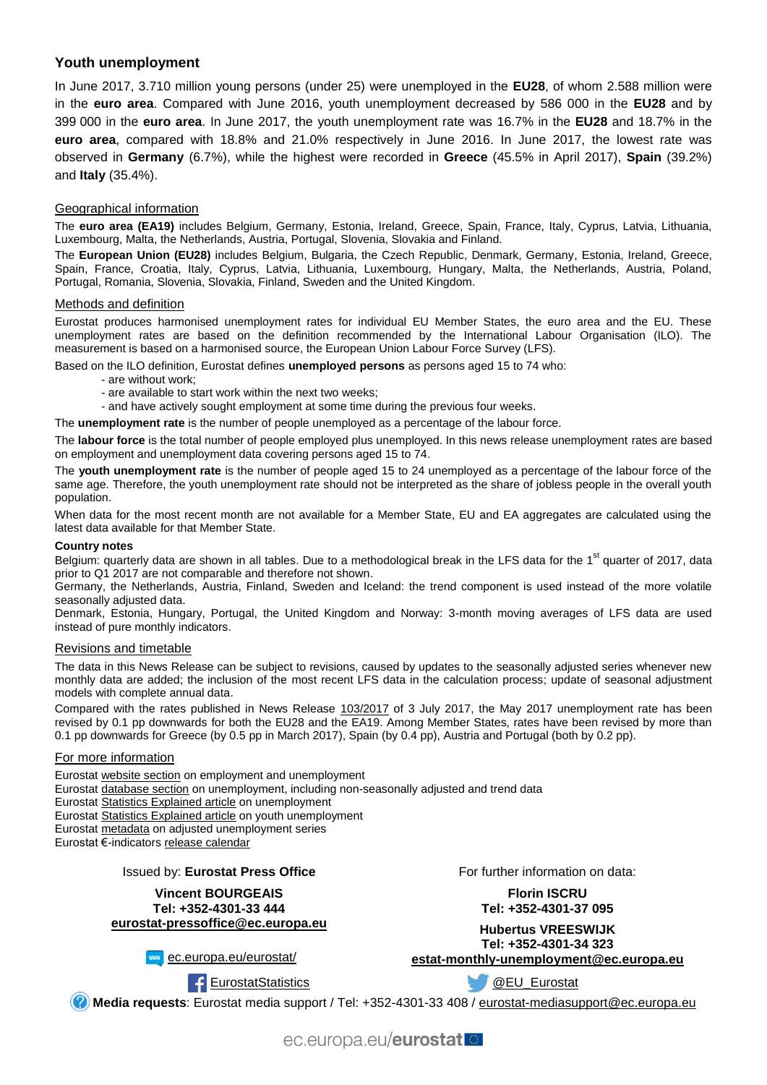## **Youth unemployment**

In June 2017, 3.710 million young persons (under 25) were unemployed in the **EU28**, of whom 2.588 million were in the **euro area**. Compared with June 2016, youth unemployment decreased by 586 000 in the **EU28** and by 399 000 in the **euro area**. In June 2017, the youth unemployment rate was 16.7% in the **EU28** and 18.7% in the **euro area**, compared with 18.8% and 21.0% respectively in June 2016. In June 2017, the lowest rate was observed in **Germany** (6.7%), while the highest were recorded in **Greece** (45.5% in April 2017), **Spain** (39.2%) and **Italy** (35.4%).

## Geographical information

The **euro area (EA19)** includes Belgium, Germany, Estonia, Ireland, Greece, Spain, France, Italy, Cyprus, Latvia, Lithuania, Luxembourg, Malta, the Netherlands, Austria, Portugal, Slovenia, Slovakia and Finland.

The **European Union (EU28)** includes Belgium, Bulgaria, the Czech Republic, Denmark, Germany, Estonia, Ireland, Greece, Spain, France, Croatia, Italy, Cyprus, Latvia, Lithuania, Luxembourg, Hungary, Malta, the Netherlands, Austria, Poland, Portugal, Romania, Slovenia, Slovakia, Finland, Sweden and the United Kingdom.

#### Methods and definition

Eurostat produces harmonised unemployment rates for individual EU Member States, the euro area and the EU. These unemployment rates are based on the definition recommended by the International Labour Organisation (ILO). The measurement is based on a harmonised source, the European Union Labour Force Survey (LFS).

Based on the ILO definition, Eurostat defines **unemployed persons** as persons aged 15 to 74 who:

- are without work;
- are available to start work within the next two weeks;
- and have actively sought employment at some time during the previous four weeks.

The **unemployment rate** is the number of people unemployed as a percentage of the labour force.

The **labour force** is the total number of people employed plus unemployed. In this news release unemployment rates are based on employment and unemployment data covering persons aged 15 to 74.

The **youth unemployment rate** is the number of people aged 15 to 24 unemployed as a percentage of the labour force of the same age. Therefore, the youth unemployment rate should not be interpreted as the share of jobless people in the overall youth population.

When data for the most recent month are not available for a Member State, EU and EA aggregates are calculated using the latest data available for that Member State.

#### **Country notes**

Belgium: quarterly data are shown in all tables. Due to a methodological break in the LFS data for the  $1<sup>st</sup>$  quarter of 2017, data prior to Q1 2017 are not comparable and therefore not shown.

Germany, the Netherlands, Austria, Finland, Sweden and Iceland: the trend component is used instead of the more volatile seasonally adjusted data.

Denmark, Estonia, Hungary, Portugal, the United Kingdom and Norway: 3-month moving averages of LFS data are used instead of pure monthly indicators.

#### Revisions and timetable

The data in this News Release can be subject to revisions, caused by updates to the seasonally adjusted series whenever new monthly data are added; the inclusion of the most recent LFS data in the calculation process; update of seasonal adjustment models with complete annual data.

Compared with the rates published in News Release [103/2017](http://ec.europa.eu/eurostat/documents/2995521/8094245/3-03072017-AP-EN.pdf/aced038e-2af1-4a7a-a726-7e8d20d840c0) of 3 July 2017, the May 2017 unemployment rate has been revised by 0.1 pp downwards for both the EU28 and the EA19. Among Member States, rates have been revised by more than 0.1 pp downwards for Greece (by 0.5 pp in March 2017), Spain (by 0.4 pp), Austria and Portugal (both by 0.2 pp).

### For more information

Eurosta[t website section](http://ec.europa.eu/eurostat/web/lfs/overview) on employment and unemployment

Eurosta[t database section](http://ec.europa.eu/eurostat/web/lfs/data/database) on unemployment, including non-seasonally adjusted and trend data

Eurosta[t Statistics Explained article](http://ec.europa.eu/eurostat/statistics-explained/index.php/Unemployment_statistics) on unemployment

Eurosta[t Statistics Explained article](http://ec.europa.eu/eurostat/statistics-explained/index.php/Youth_unemployment) on youth unemployment

Eurosta[t metadata](http://ec.europa.eu/eurostat/cache/metadata/en/une_esms.htm) on adjusted unemployment series

Eurostat €-indicator[s release calendar](http://ec.europa.eu/eurostat/news/release-calendar)

### Issued by: **Eurostat Press Office**

#### **Vincent BOURGEAIS Tel: +352-4301-33 444 [eurostat-pressoffice@ec.europa.eu](mailto:eurostat-pressoffice@ec.europa.eu)**

**WWW** [ec.europa.eu/eurostat/](http://ec.europa.eu/eurostat/)

For further information on data:

**Florin ISCRU Tel: +352-4301-37 095**

**Hubertus VREESWIJK Tel: +352-4301-34 323 [estat-monthly-unemployment@ec.europa.eu](mailto:ESTAT-monthly-unemployment@ec.europa.eu)**

[EurostatStatistics](http://www.facebook.com/EurostatStatistics) **CEU** Eurostat

**Media requests**: Eurostat media support / Tel: +352-4301-33 408 / [eurostat-mediasupport@ec.europa.eu](mailto:eurostat-mediasupport@ec.europa.eu)

ec.europa.eu/eurostat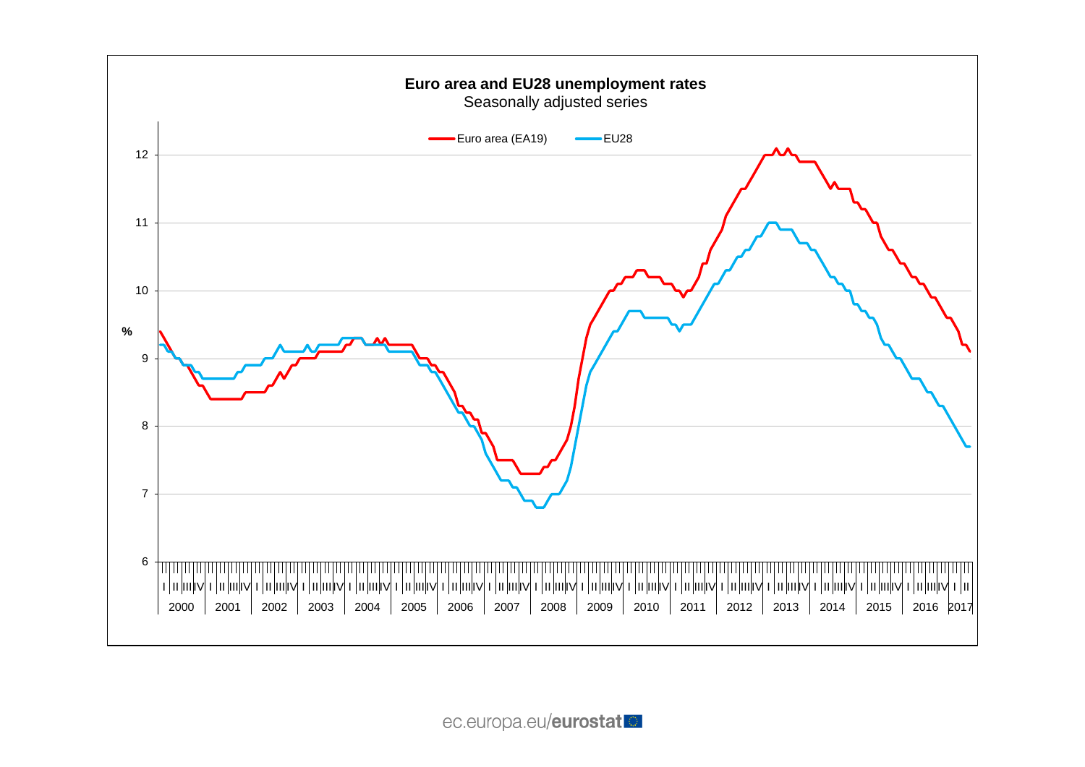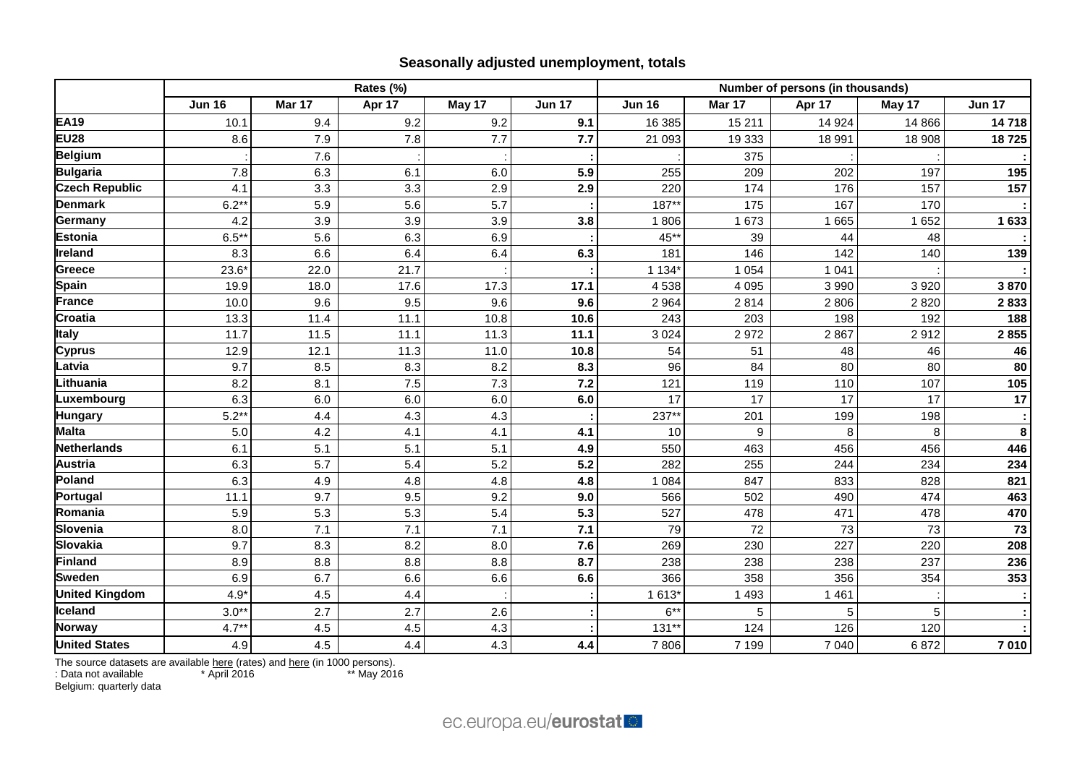## **Seasonally adjusted unemployment, totals**

|                       | Rates (%)     |        |        |        |               | Number of persons (in thousands) |         |         |         |                     |
|-----------------------|---------------|--------|--------|--------|---------------|----------------------------------|---------|---------|---------|---------------------|
|                       | <b>Jun 16</b> | Mar 17 | Apr 17 | May 17 | <b>Jun 17</b> | <b>Jun 16</b>                    | Mar 17  | Apr 17  | May 17  | Jun $1\overline{7}$ |
| <b>EA19</b>           | 10.1          | 9.4    | 9.2    | 9.2    | 9.1           | 16 385                           | 15 211  | 14 9 24 | 14 8 66 | 14718               |
| <b>EU28</b>           | 8.6           | 7.9    | 7.8    | 7.7    | 7.7           | 21 093                           | 19 333  | 18 991  | 18 908  | 18725               |
| <b>Belgium</b>        |               | 7.6    |        |        |               |                                  | 375     |         |         |                     |
| <b>Bulgaria</b>       | 7.8           | 6.3    | 6.1    | 6.0    | 5.9           | 255                              | 209     | 202     | 197     | 195                 |
| <b>Czech Republic</b> | 4.1           | 3.3    | 3.3    | 2.9    | 2.9           | 220                              | 174     | 176     | 157     | 157                 |
| <b>Denmark</b>        | $6.2**$       | 5.9    | 5.6    | 5.7    |               | $187**$                          | 175     | 167     | 170     |                     |
| Germany               | 4.2           | 3.9    | 3.9    | 3.9    | 3.8           | 1806                             | 1673    | 1 6 6 5 | 1 6 5 2 | 1633                |
| <b>Estonia</b>        | $6.5**$       | 5.6    | 6.3    | 6.9    |               | 45**                             | 39      | 44      | 48      |                     |
| Ireland               | 8.3           | 6.6    | 6.4    | 6.4    | 6.3           | 181                              | 146     | 142     | 140     | 139                 |
| Greece                | 23.6'         | 22.0   | 21.7   |        |               | 1 1 34*                          | 1 0 5 4 | 1 0 4 1 |         |                     |
| Spain                 | 19.9          | 18.0   | 17.6   | 17.3   | 17.1          | 4538                             | 4 0 9 5 | 3 9 9 0 | 3 9 2 0 | 3870                |
| <b>France</b>         | 10.0          | 9.6    | 9.5    | 9.6    | 9.6           | 2964                             | 2814    | 2806    | 2820    | 2833                |
| Croatia               | 13.3          | 11.4   | 11.1   | 10.8   | 10.6          | 243                              | 203     | 198     | 192     | 188                 |
| <b>Italy</b>          | 11.7          | 11.5   | 11.1   | 11.3   | 11.1          | 3 0 2 4                          | 2972    | 2867    | 2912    | 2855                |
| <b>Cyprus</b>         | 12.9          | 12.1   | 11.3   | 11.0   | 10.8          | 54                               | 51      | 48      | 46      | 46                  |
| Latvia                | 9.7           | 8.5    | 8.3    | 8.2    | 8.3           | 96                               | 84      | 80      | 80      | 80                  |
| Lithuania             | 8.2           | 8.1    | 7.5    | 7.3    | 7.2           | 121                              | 119     | 110     | 107     | 105                 |
| Luxembourg            | 6.3           | 6.0    | 6.0    | 6.0    | 6.0           | 17                               | 17      | 17      | 17      | 17                  |
| <b>Hungary</b>        | $5.2**$       | 4.4    | 4.3    | 4.3    |               | 237**                            | 201     | 199     | 198     |                     |
| <b>Malta</b>          | 5.0           | 4.2    | 4.1    | 4.1    | 4.1           | 10                               | 9       | 8       | 8       | 8                   |
| Netherlands           | 6.1           | 5.1    | 5.1    | 5.1    | 4.9           | 550                              | 463     | 456     | 456     | 446                 |
| <b>Austria</b>        | 6.3           | 5.7    | 5.4    | 5.2    | 5.2           | 282                              | 255     | 244     | 234     | 234                 |
| Poland                | 6.3           | 4.9    | 4.8    | 4.8    | 4.8           | 1 0 8 4                          | 847     | 833     | 828     | 821                 |
| Portugal              | 11.1          | 9.7    | 9.5    | 9.2    | 9.0           | 566                              | 502     | 490     | 474     | 463                 |
| Romania               | 5.9           | 5.3    | 5.3    | 5.4    | 5.3           | 527                              | 478     | 471     | 478     | 470                 |
| Slovenia              | 8.0           | 7.1    | 7.1    | 7.1    | 7.1           | 79                               | 72      | 73      | 73      | $\overline{73}$     |
| <b>Slovakia</b>       | 9.7           | 8.3    | 8.2    | 8.0    | 7.6           | 269                              | 230     | 227     | 220     | 208                 |
| Finland               | 8.9           | 8.8    | 8.8    | 8.8    | 8.7           | 238                              | 238     | 238     | 237     | 236                 |
| <b>Sweden</b>         | 6.9           | 6.7    | 6.6    | 6.6    | 6.6           | 366                              | 358     | 356     | 354     | 353                 |
| <b>United Kingdom</b> | $4.9*$        | 4.5    | 4.4    |        |               | 1 613*                           | 1 4 9 3 | 1 4 6 1 |         |                     |
| <b>Iceland</b>        | $3.0**$       | 2.7    | 2.7    | 2.6    |               | $6***$                           | 5       | 5       | 5       |                     |
| <b>Norway</b>         | $4.7**$       | 4.5    | 4.5    | 4.3    |               | $131**$                          | 124     | 126     | 120     |                     |
| <b>United States</b>  | 4.9           | 4.5    | 4.4    | 4.3    | 4.4           | 7806                             | 7 1 9 9 | 7 0 4 0 | 6872    | 7010                |

The source datasets are available [here](http://appsso.eurostat.ec.europa.eu/nui/show.do?query=BOOKMARK_DS-055624_QID_7A0B24FB_UID_-3F171EB0&layout=TIME,C,X,0;GEO,L,Y,0;S_ADJ,L,Z,0;AGE,L,Z,1;SEX,L,Z,2;UNIT,L,Z,3;INDICATORS,C,Z,4;&zSelection=DS-055624AGE,TOTAL;DS-055624INDICATORS,OBS_FLAG;DS-055624SEX,T;DS-055624S_ADJ,SA;DS-055624UNIT,PC_ACT;&rankName1=AGE_1_2_-1_2&rankName2=INDICATORS_1_2_-1_2&rankName3=SEX_1_2_-1_2&rankName4=S-ADJ_1_2_-1_2&rankName5=UNIT_1_2_0_0&rankName6=TIME_1_0_0_0&rankName7=GEO_1_2_0_1&sortC=ASC_-1_FIRST&rStp=&cStp=&rDCh=&cDCh=&rDM=true&cDM=true&footnes=false&empty=false&wai=false&time_mode=ROLLING&time_most_recent=true&lang=EN&cfo=%23%23%23%2C%23%23%23.%23%23%23) (rates) and here (in 1000 persons).

: Data not available \* April 2016 \*\* May 2016

Belgium: quarterly data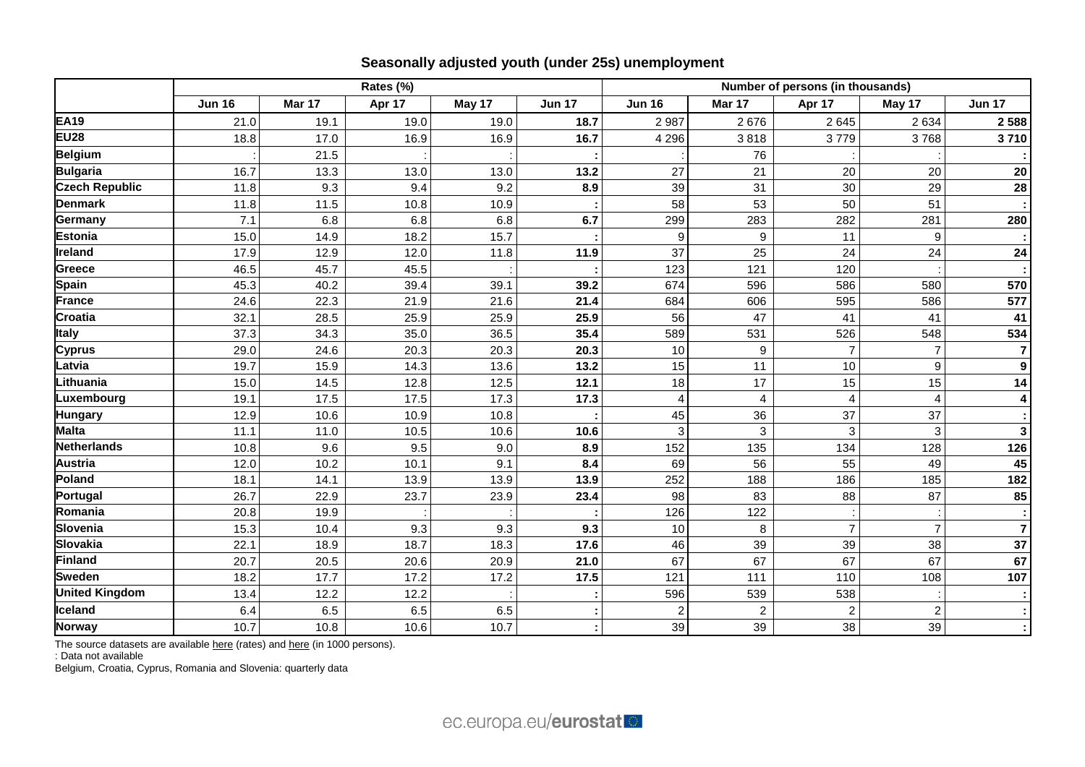## **Seasonally adjusted youth (under 25s) unemployment**

|                       | Rates (%)     |        |        |        |               | Number of persons (in thousands) |                         |                |                |                  |
|-----------------------|---------------|--------|--------|--------|---------------|----------------------------------|-------------------------|----------------|----------------|------------------|
|                       | <b>Jun 16</b> | Mar 17 | Apr 17 | May 17 | <b>Jun 17</b> | <b>Jun 16</b>                    | Mar 17                  | Apr 17         | May 17         | <b>Jun 17</b>    |
| <b>EA19</b>           | 21.0          | 19.1   | 19.0   | 19.0   | 18.7          | 2987                             | 2676                    | 2645           | 2634           | 2588             |
| <b>EU28</b>           | 18.8          | 17.0   | 16.9   | 16.9   | 16.7          | 4 2 9 6                          | 3818                    | 3779           | 3768           | 3710             |
| <b>Belgium</b>        |               | 21.5   |        |        |               |                                  | 76                      |                |                |                  |
| <b>Bulgaria</b>       | 16.7          | 13.3   | 13.0   | 13.0   | 13.2          | 27                               | 21                      | 20             | 20             | 20               |
| <b>Czech Republic</b> | 11.8          | 9.3    | 9.4    | 9.2    | 8.9           | 39                               | 31                      | 30             | 29             | 28               |
| <b>Denmark</b>        | 11.8          | 11.5   | 10.8   | 10.9   |               | 58                               | 53                      | 50             | 51             |                  |
| Germany               | 7.1           | 6.8    | 6.8    | 6.8    | 6.7           | 299                              | 283                     | 282            | 281            | 280              |
| <b>Estonia</b>        | 15.0          | 14.9   | 18.2   | 15.7   |               | 9                                | 9                       | 11             | 9              |                  |
| Ireland               | 17.9          | 12.9   | 12.0   | 11.8   | 11.9          | 37                               | 25                      | 24             | 24             | 24               |
| Greece                | 46.5          | 45.7   | 45.5   |        |               | 123                              | 121                     | 120            |                |                  |
| Spain                 | 45.3          | 40.2   | 39.4   | 39.1   | 39.2          | 674                              | 596                     | 586            | 580            | 570              |
| <b>France</b>         | 24.6          | 22.3   | 21.9   | 21.6   | 21.4          | 684                              | 606                     | 595            | 586            | 577              |
| Croatia               | 32.1          | 28.5   | 25.9   | 25.9   | 25.9          | 56                               | 47                      | 41             | 41             | 41               |
| <b>Italy</b>          | 37.3          | 34.3   | 35.0   | 36.5   | 35.4          | 589                              | 531                     | 526            | 548            | 534              |
| <b>Cyprus</b>         | 29.0          | 24.6   | 20.3   | 20.3   | 20.3          | 10                               | 9                       | $\overline{7}$ | $\overline{7}$ | $\overline{7}$   |
| Latvia                | 19.7          | 15.9   | 14.3   | 13.6   | 13.2          | 15                               | 11                      | 10             | 9              | $\boldsymbol{9}$ |
| Lithuania             | 15.0          | 14.5   | 12.8   | 12.5   | 12.1          | 18                               | 17                      | 15             | 15             | 14               |
| Luxembourg            | 19.1          | 17.5   | 17.5   | 17.3   | 17.3          | 4                                | $\overline{\mathbf{4}}$ | 4              | $\overline{4}$ | 4                |
| <b>Hungary</b>        | 12.9          | 10.6   | 10.9   | 10.8   |               | 45                               | 36                      | 37             | 37             |                  |
| <b>Malta</b>          | 11.1          | 11.0   | 10.5   | 10.6   | 10.6          | 3                                | 3                       | 3              | 3              | 3                |
| Netherlands           | 10.8          | 9.6    | 9.5    | 9.0    | 8.9           | 152                              | 135                     | 134            | 128            | 126              |
| <b>Austria</b>        | 12.0          | 10.2   | 10.1   | 9.1    | 8.4           | 69                               | 56                      | 55             | 49             | 45               |
| Poland                | 18.1          | 14.1   | 13.9   | 13.9   | 13.9          | 252                              | 188                     | 186            | 185            | 182              |
| Portugal              | 26.7          | 22.9   | 23.7   | 23.9   | 23.4          | 98                               | 83                      | 88             | 87             | 85               |
| Romania               | 20.8          | 19.9   |        |        |               | 126                              | 122                     |                |                |                  |
| Slovenia              | 15.3          | 10.4   | 9.3    | 9.3    | 9.3           | 10                               | 8                       | 7              | $\overline{7}$ | $\overline{7}$   |
| <b>Slovakia</b>       | 22.1          | 18.9   | 18.7   | 18.3   | 17.6          | 46                               | 39                      | 39             | 38             | 37               |
| Finland               | 20.7          | 20.5   | 20.6   | 20.9   | 21.0          | 67                               | 67                      | 67             | 67             | 67               |
| <b>Sweden</b>         | 18.2          | 17.7   | 17.2   | 17.2   | 17.5          | 121                              | 111                     | 110            | 108            | 107              |
| <b>United Kingdom</b> | 13.4          | 12.2   | 12.2   |        |               | 596                              | 539                     | 538            |                |                  |
| <b>Iceland</b>        | 6.4           | 6.5    | 6.5    | 6.5    |               | $\overline{2}$                   | $\overline{2}$          | $\overline{2}$ | $\overline{c}$ |                  |
| <b>Norway</b>         | 10.7          | 10.8   | 10.6   | 10.7   |               | 39                               | 39                      | 38             | 39             |                  |

The source datasets are available [here](http://appsso.eurostat.ec.europa.eu/nui/show.do?query=BOOKMARK_DS-055624_QID_5DCA03A6_UID_-3F171EB0&layout=TIME,C,X,0;GEO,L,Y,0;S_ADJ,L,Z,0;AGE,L,Z,1;SEX,L,Z,2;UNIT,L,Z,3;INDICATORS,C,Z,4;&zSelection=DS-055624AGE,TOTAL;DS-055624INDICATORS,OBS_FLAG;DS-055624SEX,T;DS-055624S_ADJ,SA;DS-055624UNIT,THS_PER;&rankName1=AGE_1_2_-1_2&rankName2=INDICATORS_1_2_-1_2&rankName3=SEX_1_2_-1_2&rankName4=S-ADJ_1_2_-1_2&rankName5=UNIT_1_2_0_0&rankName6=TIME_1_0_0_0&rankName7=GEO_1_2_0_1&sortC=ASC_-1_FIRST&rStp=&cStp=&rDCh=&cDCh=&rDM=true&cDM=true&footnes=false&empty=false&wai=false&time_mode=ROLLING&time_most_recent=true&lang=EN&cfo=%23%23%23%2C%23%23%23.%23%23%23) (rates) and here (in 1000 persons).

: Data not available

Belgium, Croatia, Cyprus, Romania and Slovenia: quarterly data